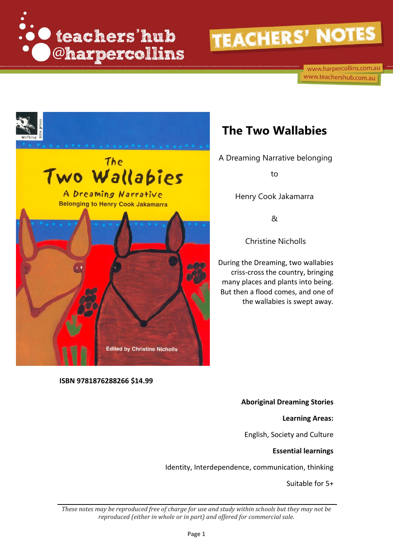

www.harpercollins.com.au www.teachershub.com.au



### **The Two Wallabies**

A Dreaming Narrative belonging

to

Henry Cook Jakamarra

&

Christine Nicholls

During the Dreaming, two wallabies criss-cross the country, bringing many places and plants into being. But then a flood comes, and one of the wallabies is swept away.

**ISBN 9781876288266 \$14.99**

#### **Aboriginal Dreaming Stories**

**Learning Areas:** 

English, Society and Culture

#### **Essential learnings**

Identity, Interdependence, communication, thinking

Suitable for 5+

*These notes may be reproduced free of charge for use and study within schools but they may not be reproduced (either in whole or in part) and offered for commercial sale.*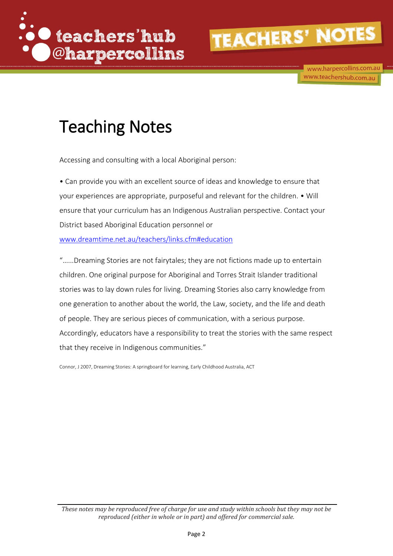

www.harpercollins.com.au www.teachershub.com.au

### Teaching Notes

Accessing and consulting with a local Aboriginal person:

• Can provide you with an excellent source of ideas and knowledge to ensure that your experiences are appropriate, purposeful and relevant for the children. • Will ensure that your curriculum has an Indigenous Australian perspective. Contact your District based Aboriginal Education personnel or

[www.dreamtime.net.au/teachers/links.cfm#education](http://www.dreamtime.net.au/teachers/links.cfm#education)

"…...Dreaming Stories are not fairytales; they are not fictions made up to entertain children. One original purpose for Aboriginal and Torres Strait Islander traditional stories was to lay down rules for living. Dreaming Stories also carry knowledge from one generation to another about the world, the Law, society, and the life and death of people. They are serious pieces of communication, with a serious purpose. Accordingly, educators have a responsibility to treat the stories with the same respect that they receive in Indigenous communities."

Connor, J 2007, Dreaming Stories: A springboard for learning, Early Childhood Australia, ACT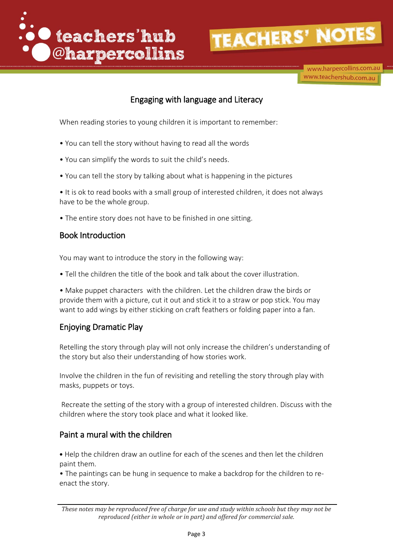

www.harpercollins.com.au www.teachershub.com.au

#### Engaging with language and Literacy

When reading stories to young children it is important to remember:

- You can tell the story without having to read all the words
- You can simplify the words to suit the child's needs.
- You can tell the story by talking about what is happening in the pictures

• It is ok to read books with a small group of interested children, it does not always have to be the whole group.

• The entire story does not have to be finished in one sitting.

#### Book Introduction

You may want to introduce the story in the following way:

• Tell the children the title of the book and talk about the cover illustration.

• Make puppet characters with the children. Let the children draw the birds or provide them with a picture, cut it out and stick it to a straw or pop stick. You may want to add wings by either sticking on craft feathers or folding paper into a fan.

#### Enjoying Dramatic Play

Retelling the story through play will not only increase the children's understanding of the story but also their understanding of how stories work.

Involve the children in the fun of revisiting and retelling the story through play with masks, puppets or toys.

Recreate the setting of the story with a group of interested children. Discuss with the children where the story took place and what it looked like.

#### Paint a mural with the children

• Help the children draw an outline for each of the scenes and then let the children paint them.

• The paintings can be hung in sequence to make a backdrop for the children to reenact the story.

*These notes may be reproduced free of charge for use and study within schools but they may not be reproduced (either in whole or in part) and offered for commercial sale.*